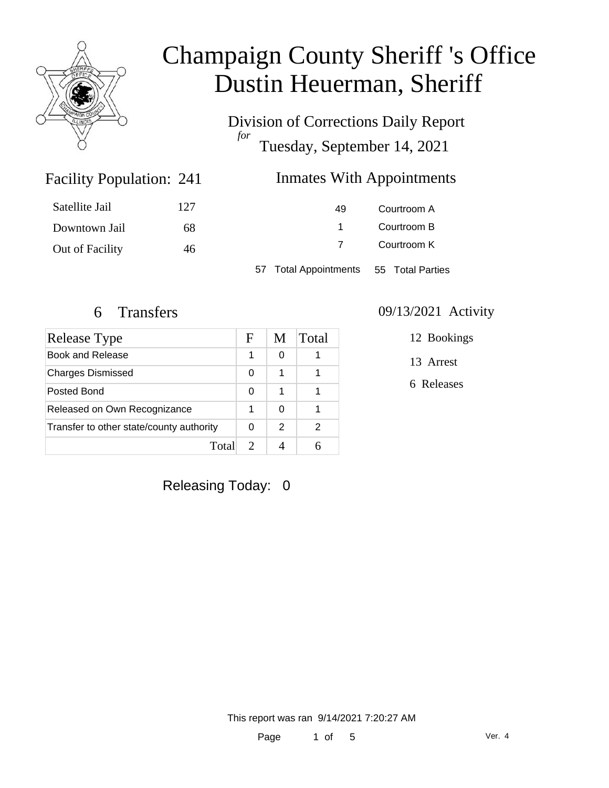

Division of Corrections Daily Report *for* Tuesday, September 14, 2021

### Inmates With Appointments

| Satellite Jail  | 127 | 49                    | Courtroom A      |  |
|-----------------|-----|-----------------------|------------------|--|
| Downtown Jail   | 68  |                       | Courtroom B      |  |
| Out of Facility | 46  |                       | Courtroom K      |  |
|                 |     | 57 Total Appointments | 55 Total Parties |  |

Facility Population: 241

| Release Type                             |  | M | Total |
|------------------------------------------|--|---|-------|
| Book and Release                         |  | 0 |       |
| <b>Charges Dismissed</b>                 |  | 1 |       |
| Posted Bond                              |  | 1 |       |
| Released on Own Recognizance             |  | ∩ |       |
| Transfer to other state/county authority |  | 2 | 2     |
| Total                                    |  |   |       |

### 6 Transfers 09/13/2021 Activity

12 Bookings

13 Arrest

6 Releases

Releasing Today: 0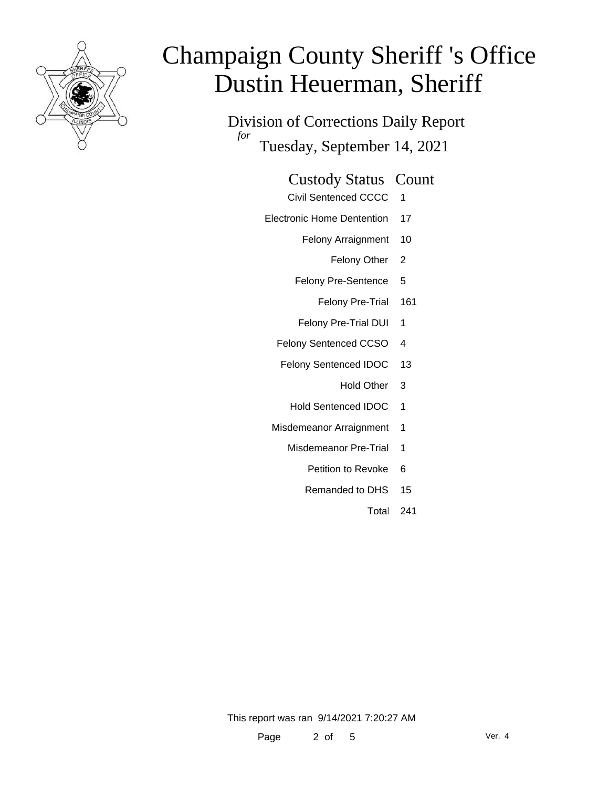

Division of Corrections Daily Report *for* Tuesday, September 14, 2021

### Custody Status Count

- Civil Sentenced CCCC 1
- Electronic Home Dentention 17
	- Felony Arraignment 10
		- Felony Other 2
	- Felony Pre-Sentence 5
		- Felony Pre-Trial 161
	- Felony Pre-Trial DUI 1
	- Felony Sentenced CCSO 4
	- Felony Sentenced IDOC 13
		- Hold Other 3
		- Hold Sentenced IDOC 1
	- Misdemeanor Arraignment 1
		- Misdemeanor Pre-Trial 1
			- Petition to Revoke 6
			- Remanded to DHS 15
				- Total 241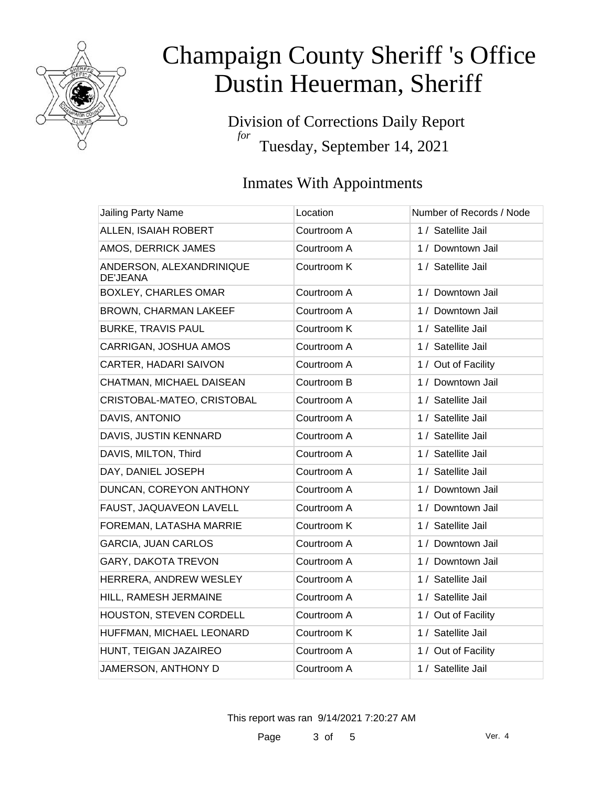

Division of Corrections Daily Report *for* Tuesday, September 14, 2021

### Inmates With Appointments

| Jailing Party Name                          | Location    | Number of Records / Node |
|---------------------------------------------|-------------|--------------------------|
| ALLEN, ISAIAH ROBERT                        | Courtroom A | 1 / Satellite Jail       |
| AMOS, DERRICK JAMES                         | Courtroom A | 1 / Downtown Jail        |
| ANDERSON, ALEXANDRINIQUE<br><b>DE'JEANA</b> | Courtroom K | 1 / Satellite Jail       |
| <b>BOXLEY, CHARLES OMAR</b>                 | Courtroom A | 1 / Downtown Jail        |
| <b>BROWN, CHARMAN LAKEEF</b>                | Courtroom A | 1 / Downtown Jail        |
| <b>BURKE, TRAVIS PAUL</b>                   | Courtroom K | 1 / Satellite Jail       |
| CARRIGAN, JOSHUA AMOS                       | Courtroom A | 1 / Satellite Jail       |
| CARTER, HADARI SAIVON                       | Courtroom A | 1 / Out of Facility      |
| CHATMAN, MICHAEL DAISEAN                    | Courtroom B | 1 / Downtown Jail        |
| CRISTOBAL-MATEO, CRISTOBAL                  | Courtroom A | 1 / Satellite Jail       |
| DAVIS, ANTONIO                              | Courtroom A | 1 / Satellite Jail       |
| DAVIS, JUSTIN KENNARD                       | Courtroom A | 1 / Satellite Jail       |
| DAVIS, MILTON, Third                        | Courtroom A | 1 / Satellite Jail       |
| DAY, DANIEL JOSEPH                          | Courtroom A | 1 / Satellite Jail       |
| DUNCAN, COREYON ANTHONY                     | Courtroom A | 1 / Downtown Jail        |
| FAUST, JAQUAVEON LAVELL                     | Courtroom A | 1 / Downtown Jail        |
| FOREMAN, LATASHA MARRIE                     | Courtroom K | 1 / Satellite Jail       |
| <b>GARCIA, JUAN CARLOS</b>                  | Courtroom A | 1 / Downtown Jail        |
| GARY, DAKOTA TREVON                         | Courtroom A | 1 / Downtown Jail        |
| HERRERA, ANDREW WESLEY                      | Courtroom A | 1 / Satellite Jail       |
| HILL, RAMESH JERMAINE                       | Courtroom A | 1 / Satellite Jail       |
| HOUSTON, STEVEN CORDELL                     | Courtroom A | 1 / Out of Facility      |
| HUFFMAN, MICHAEL LEONARD                    | Courtroom K | 1 / Satellite Jail       |
| HUNT, TEIGAN JAZAIREO                       | Courtroom A | 1 / Out of Facility      |
| JAMERSON, ANTHONY D                         | Courtroom A | 1 / Satellite Jail       |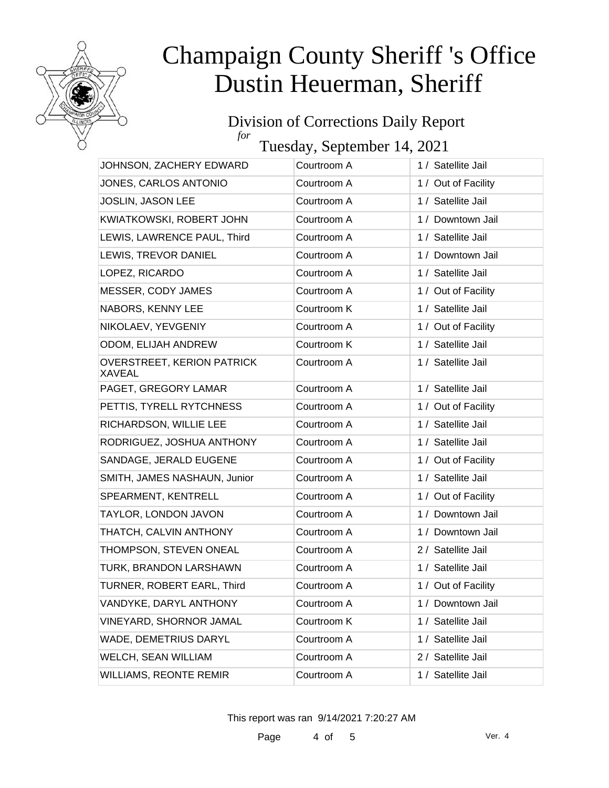

### Division of Corrections Daily Report *for*

Tuesday, September 14, 2021

| JOHNSON, ZACHERY EDWARD                            | Courtroom A | 1 / Satellite Jail  |
|----------------------------------------------------|-------------|---------------------|
| JONES, CARLOS ANTONIO                              | Courtroom A | 1 / Out of Facility |
| JOSLIN, JASON LEE                                  | Courtroom A | 1 / Satellite Jail  |
| KWIATKOWSKI, ROBERT JOHN                           | Courtroom A | 1 / Downtown Jail   |
| LEWIS, LAWRENCE PAUL, Third                        | Courtroom A | 1 / Satellite Jail  |
| LEWIS, TREVOR DANIEL                               | Courtroom A | 1 / Downtown Jail   |
| LOPEZ, RICARDO                                     | Courtroom A | 1 / Satellite Jail  |
| MESSER, CODY JAMES                                 | Courtroom A | 1 / Out of Facility |
| NABORS, KENNY LEE                                  | Courtroom K | 1 / Satellite Jail  |
| NIKOLAEV, YEVGENIY                                 | Courtroom A | 1 / Out of Facility |
| ODOM, ELIJAH ANDREW                                | Courtroom K | 1 / Satellite Jail  |
| <b>OVERSTREET, KERION PATRICK</b><br><b>XAVEAL</b> | Courtroom A | 1 / Satellite Jail  |
| PAGET, GREGORY LAMAR                               | Courtroom A | 1 / Satellite Jail  |
| PETTIS, TYRELL RYTCHNESS                           | Courtroom A | 1 / Out of Facility |
| RICHARDSON, WILLIE LEE                             | Courtroom A | 1 / Satellite Jail  |
| RODRIGUEZ, JOSHUA ANTHONY                          | Courtroom A | 1 / Satellite Jail  |
| SANDAGE, JERALD EUGENE                             | Courtroom A | 1 / Out of Facility |
| SMITH, JAMES NASHAUN, Junior                       | Courtroom A | 1 / Satellite Jail  |
| SPEARMENT, KENTRELL                                | Courtroom A | 1 / Out of Facility |
| TAYLOR, LONDON JAVON                               | Courtroom A | 1 / Downtown Jail   |
| THATCH, CALVIN ANTHONY                             | Courtroom A | 1 / Downtown Jail   |
| THOMPSON, STEVEN ONEAL                             | Courtroom A | 2 / Satellite Jail  |
| TURK, BRANDON LARSHAWN                             | Courtroom A | 1 / Satellite Jail  |
| TURNER, ROBERT EARL, Third                         | Courtroom A | 1 / Out of Facility |
| VANDYKE, DARYL ANTHONY                             | Courtroom A | 1 / Downtown Jail   |
| VINEYARD, SHORNOR JAMAL                            | Courtroom K | 1 / Satellite Jail  |
| <b>WADE, DEMETRIUS DARYL</b>                       | Courtroom A | 1 / Satellite Jail  |
| WELCH, SEAN WILLIAM                                | Courtroom A | 2 / Satellite Jail  |
| <b>WILLIAMS, REONTE REMIR</b>                      | Courtroom A | 1 / Satellite Jail  |